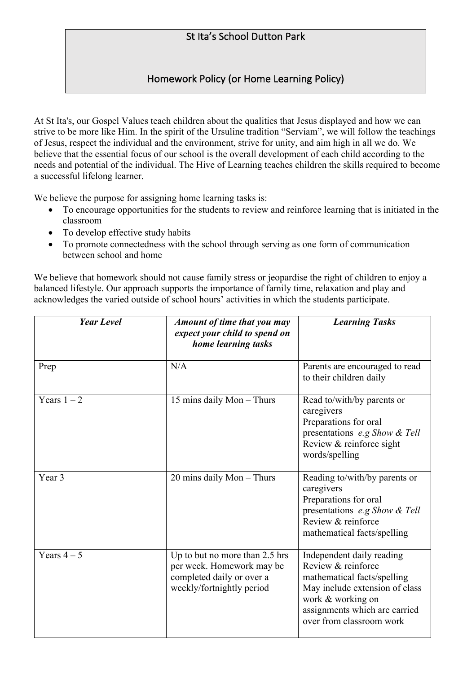# St Ita's School Dutton Park

## Homework Policy (or Home Learning Policy)

At St Ita's, our Gospel Values teach children about the qualities that Jesus displayed and how we can strive to be more like Him. In the spirit of the Ursuline tradition "Serviam", we will follow the teachings of Jesus, respect the individual and the environment, strive for unity, and aim high in all we do. We believe that the essential focus of our school is the overall development of each child according to the needs and potential of the individual. The Hive of Learning teaches children the skills required to become a successful lifelong learner.

We believe the purpose for assigning home learning tasks is:

- To encourage opportunities for the students to review and reinforce learning that is initiated in the classroom
- To develop effective study habits
- To promote connectedness with the school through serving as one form of communication between school and home

We believe that homework should not cause family stress or jeopardise the right of children to enjoy a balanced lifestyle. Our approach supports the importance of family time, relaxation and play and acknowledges the varied outside of school hours' activities in which the students participate.

| <b>Year Level</b> | Amount of time that you may<br>expect your child to spend on<br>home learning tasks                                   | <b>Learning Tasks</b>                                                                                                                                                                              |
|-------------------|-----------------------------------------------------------------------------------------------------------------------|----------------------------------------------------------------------------------------------------------------------------------------------------------------------------------------------------|
| Prep              | N/A                                                                                                                   | Parents are encouraged to read<br>to their children daily                                                                                                                                          |
| Years $1 - 2$     | 15 mins daily Mon - Thurs                                                                                             | Read to/with/by parents or<br>caregivers<br>Preparations for oral<br>presentations e.g Show & Tell<br>Review & reinforce sight<br>words/spelling                                                   |
| Year 3            | 20 mins daily Mon - Thurs                                                                                             | Reading to/with/by parents or<br>caregivers<br>Preparations for oral<br>presentations e.g Show & Tell<br>Review & reinforce<br>mathematical facts/spelling                                         |
| Years $4-5$       | Up to but no more than 2.5 hrs<br>per week. Homework may be<br>completed daily or over a<br>weekly/fortnightly period | Independent daily reading<br>Review & reinforce<br>mathematical facts/spelling<br>May include extension of class<br>work & working on<br>assignments which are carried<br>over from classroom work |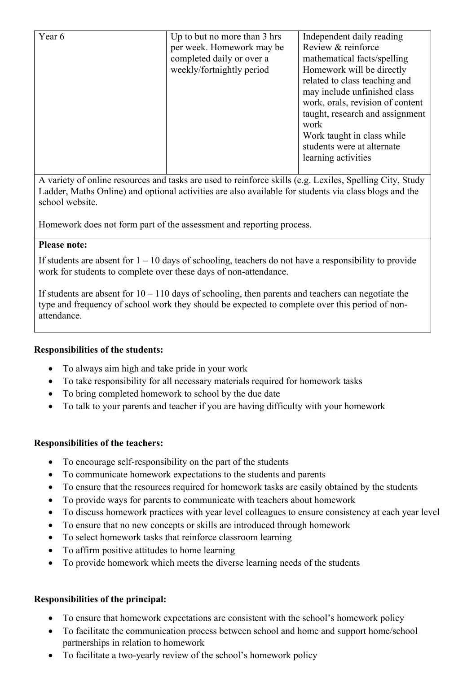| Year 6 | Up to but no more than 3 hrs | Independent daily reading<br>Review & reinforce |
|--------|------------------------------|-------------------------------------------------|
|        | per week. Homework may be    |                                                 |
|        | completed daily or over a    | mathematical facts/spelling                     |
|        | weekly/fortnightly period    | Homework will be directly                       |
|        |                              | related to class teaching and                   |
|        |                              | may include unfinished class                    |
|        |                              | work, orals, revision of content                |
|        |                              | taught, research and assignment                 |
|        |                              | work                                            |
|        |                              | Work taught in class while                      |
|        |                              | students were at alternate                      |
|        |                              | learning activities                             |
|        |                              |                                                 |

A variety of online resources and tasks are used to reinforce skills (e.g. Lexiles, Spelling City, Study Ladder, Maths Online) and optional activities are also available for students via class blogs and the school website.

Homework does not form part of the assessment and reporting process.

## **Please note:**

If students are absent for  $1 - 10$  days of schooling, teachers do not have a responsibility to provide work for students to complete over these days of non-attendance.

If students are absent for  $10 - 110$  days of schooling, then parents and teachers can negotiate the type and frequency of school work they should be expected to complete over this period of nonattendance.

## **Responsibilities of the students:**

- To always aim high and take pride in your work
- To take responsibility for all necessary materials required for homework tasks
- To bring completed homework to school by the due date
- To talk to your parents and teacher if you are having difficulty with your homework

## **Responsibilities of the teachers:**

- To encourage self-responsibility on the part of the students
- To communicate homework expectations to the students and parents
- To ensure that the resources required for homework tasks are easily obtained by the students
- To provide ways for parents to communicate with teachers about homework
- To discuss homework practices with year level colleagues to ensure consistency at each year level
- To ensure that no new concepts or skills are introduced through homework
- To select homework tasks that reinforce classroom learning
- To affirm positive attitudes to home learning
- To provide homework which meets the diverse learning needs of the students

## **Responsibilities of the principal:**

- To ensure that homework expectations are consistent with the school's homework policy
- To facilitate the communication process between school and home and support home/school partnerships in relation to homework
- To facilitate a two-yearly review of the school's homework policy